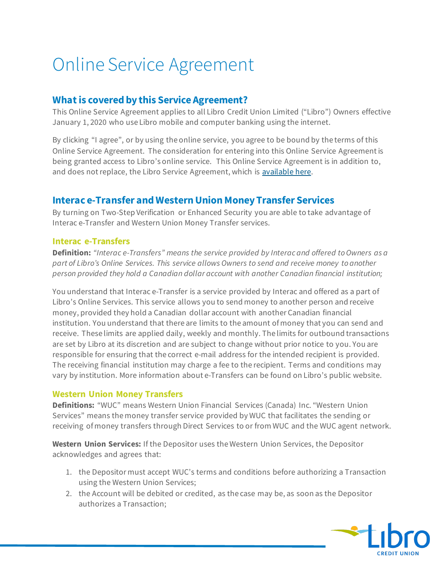# Online Service Agreement

#### **What is covered by this Service Agreement?**

This Online Service Agreement applies to all Libro Credit Union Limited ("Libro") Owners effective January 1, 2020 who use Libro mobile and computer banking using the internet.

By clicking "I agree", or by using the online service, you agree to be bound by the terms of this Online Service Agreement. The consideration for entering into this Online Service Agreement is being granted access to Libro's online service. This Online Service Agreement is in addition to, and does not replace, the Libro Service Agreement, which is [available here.](https://www.libro.ca/legal/service-agreement)

### **Interac e-Transfer and Western Union Money Transfer Services**

By turning on Two-Step Verification or Enhanced Security you are able to take advantage of Interac e-Transfer and Western Union Money Transfer services.

#### **Interac e-Transfers**

**Definition:** *"Interac e-Transfers" means the service provided by Interac and offered to Owners as a part of Libro's Online Services. This service allows Owners to send and receive money to another person provided they hold a Canadian dollar account with another Canadian financial institution;*

You understand that Interac e-Transfer is a service provided by Interac and offered as a part of Libro's Online Services. This service allows you to send money to another person and receive money, provided they hold a Canadian dollar account with another Canadian financial institution. You understand that there are limits to the amount of money that you can send and receive. These limits are applied daily, weekly and monthly. The limits for outbound transactions are set by Libro at its discretion and are subject to change without prior notice to you. You are responsible for ensuring that the correct e-mail address for the intended recipient is provided. The receiving financial institution may charge a fee to the recipient. Terms and conditions may vary by institution. More information about e-Transfers can be found on Libro's public website.

#### **Western Union Money Transfers**

**Definitions:** "WUC" means Western Union Financial Services (Canada) Inc. "Western Union Services" means the money transfer service provided by WUC that facilitates the sending or receiving of money transfers through Direct Services to or from WUC and the WUC agent network.

**Western Union Services:** If the Depositor uses the Western Union Services, the Depositor acknowledges and agrees that:

- 1. the Depositor must accept WUC's terms and conditions before authorizing a Transaction using the Western Union Services;
- 2. the Account will be debited or credited, as the case may be, as soon as the Depositor authorizes a Transaction;